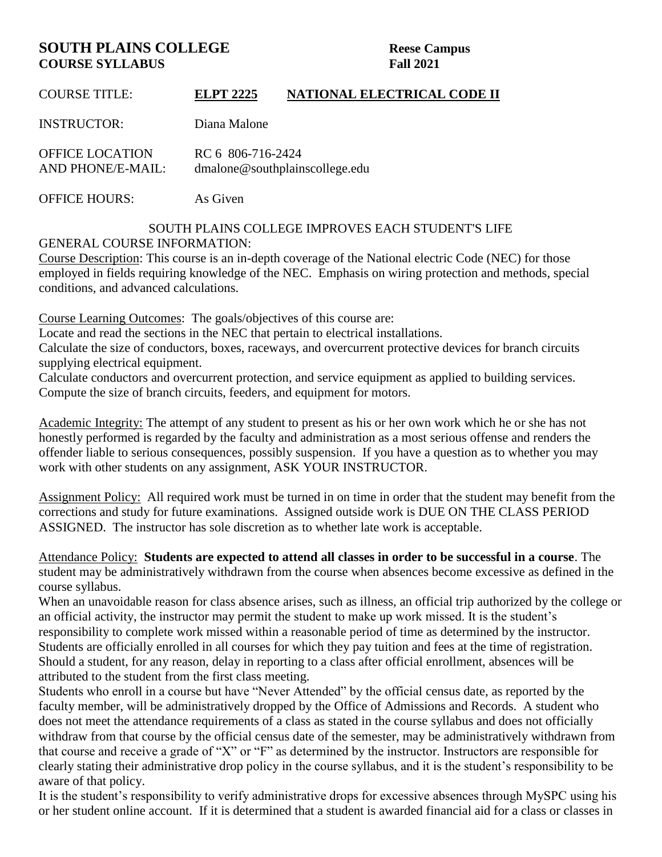# **SOUTH PLAINS COLLEGE** Reese Campus **COURSE SYLLABUS Fall 2021**

| <b>COURSE TITLE:</b>                        | <b>ELPT 2225</b>                                    | NATIONAL ELECTRICAL CODE II |
|---------------------------------------------|-----------------------------------------------------|-----------------------------|
| <b>INSTRUCTOR:</b>                          | Diana Malone                                        |                             |
| <b>OFFICE LOCATION</b><br>AND PHONE/E-MAIL: | RC 6 806-716-2424<br>dmalone@southplainscollege.edu |                             |

OFFICE HOURS: As Given

#### SOUTH PLAINS COLLEGE IMPROVES EACH STUDENT'S LIFE GENERAL COURSE INFORMATION:

Course Description: This course is an in-depth coverage of the National electric Code (NEC) for those employed in fields requiring knowledge of the NEC. Emphasis on wiring protection and methods, special conditions, and advanced calculations.

Course Learning Outcomes: The goals/objectives of this course are:

Locate and read the sections in the NEC that pertain to electrical installations.

Calculate the size of conductors, boxes, raceways, and overcurrent protective devices for branch circuits supplying electrical equipment.

Calculate conductors and overcurrent protection, and service equipment as applied to building services. Compute the size of branch circuits, feeders, and equipment for motors.

Academic Integrity: The attempt of any student to present as his or her own work which he or she has not honestly performed is regarded by the faculty and administration as a most serious offense and renders the offender liable to serious consequences, possibly suspension. If you have a question as to whether you may work with other students on any assignment, ASK YOUR INSTRUCTOR.

Assignment Policy: All required work must be turned in on time in order that the student may benefit from the corrections and study for future examinations. Assigned outside work is DUE ON THE CLASS PERIOD ASSIGNED. The instructor has sole discretion as to whether late work is acceptable.

Attendance Policy: **Students are expected to attend all classes in order to be successful in a course**. The student may be administratively withdrawn from the course when absences become excessive as defined in the course syllabus.

When an unavoidable reason for class absence arises, such as illness, an official trip authorized by the college or an official activity, the instructor may permit the student to make up work missed. It is the student's responsibility to complete work missed within a reasonable period of time as determined by the instructor. Students are officially enrolled in all courses for which they pay tuition and fees at the time of registration. Should a student, for any reason, delay in reporting to a class after official enrollment, absences will be attributed to the student from the first class meeting.

Students who enroll in a course but have "Never Attended" by the official census date, as reported by the faculty member, will be administratively dropped by the Office of Admissions and Records. A student who does not meet the attendance requirements of a class as stated in the course syllabus and does not officially withdraw from that course by the official census date of the semester, may be administratively withdrawn from that course and receive a grade of "X" or "F" as determined by the instructor. Instructors are responsible for clearly stating their administrative drop policy in the course syllabus, and it is the student's responsibility to be aware of that policy.

It is the student's responsibility to verify administrative drops for excessive absences through MySPC using his or her student online account. If it is determined that a student is awarded financial aid for a class or classes in